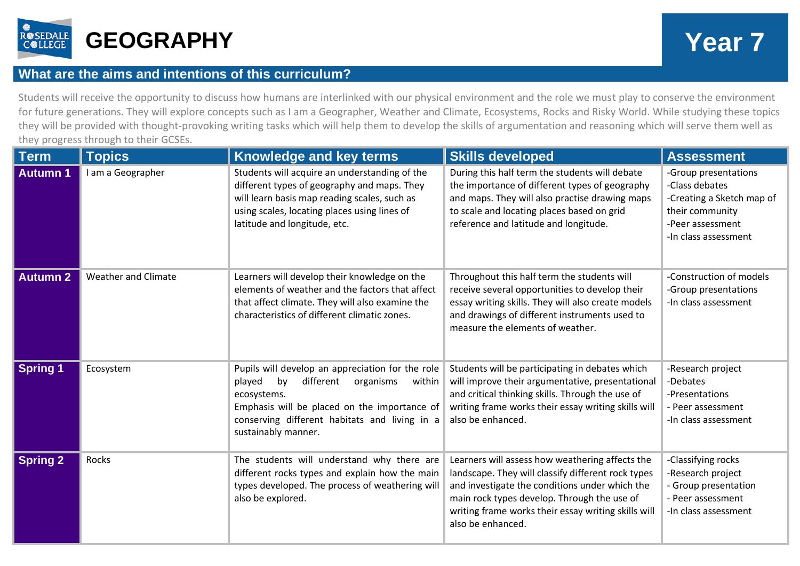

## **What are the aims and intentions of this curriculum?**

Students will receive the opportunity to discuss how humans are interlinked with our physical environment and the role we must play to conserve the environment for future generations. They will explore concepts such as I am a Geographer, Weather and Climate, Ecosystems, Rocks and Risky World. While studying these topics they will be provided with thought-provoking writing tasks which will help them to develop the skills of argumentation and reasoning which will serve them well as they progress through to their GCSEs.

| <b>Term</b>     | <b>Topics</b>              | Knowledge and key terms                                                                                                                                                                                                                     | <b>Skills developed</b>                                                                                                                                                                                                                                                            | <b>Assessment</b>                                                                                                                  |
|-----------------|----------------------------|---------------------------------------------------------------------------------------------------------------------------------------------------------------------------------------------------------------------------------------------|------------------------------------------------------------------------------------------------------------------------------------------------------------------------------------------------------------------------------------------------------------------------------------|------------------------------------------------------------------------------------------------------------------------------------|
| <b>Autumn 1</b> | I am a Geographer          | Students will acquire an understanding of the<br>different types of geography and maps. They<br>will learn basis map reading scales, such as<br>using scales, locating places using lines of<br>latitude and longitude, etc.                | During this half term the students will debate<br>the importance of different types of geography<br>and maps. They will also practise drawing maps<br>to scale and locating places based on grid<br>reference and latitude and longitude.                                          | -Group presentations<br>-Class debates<br>-Creating a Sketch map of<br>their community<br>-Peer assessment<br>-In class assessment |
| <b>Autumn 2</b> | <b>Weather and Climate</b> | Learners will develop their knowledge on the<br>elements of weather and the factors that affect<br>that affect climate. They will also examine the<br>characteristics of different climatic zones.                                          | Throughout this half term the students will<br>receive several opportunities to develop their<br>essay writing skills. They will also create models<br>and drawings of different instruments used to<br>measure the elements of weather.                                           | -Construction of models<br>-Group presentations<br>-In class assessment                                                            |
| <b>Spring 1</b> | Ecosystem                  | Pupils will develop an appreciation for the role<br>different<br>organisms<br>played<br>bv<br>within<br>ecosystems.<br>Emphasis will be placed on the importance of<br>conserving different habitats and living in a<br>sustainably manner. | Students will be participating in debates which<br>will improve their argumentative, presentational<br>and critical thinking skills. Through the use of<br>writing frame works their essay writing skills will<br>also be enhanced.                                                | -Research project<br>-Debates<br>-Presentations<br>- Peer assessment<br>-In class assessment                                       |
| <b>Spring 2</b> | Rocks                      | The students will understand why there are<br>different rocks types and explain how the main<br>types developed. The process of weathering will<br>also be explored.                                                                        | Learners will assess how weathering affects the<br>landscape. They will classify different rock types<br>and investigate the conditions under which the<br>main rock types develop. Through the use of<br>writing frame works their essay writing skills will<br>also be enhanced. | -Classifying rocks<br>-Research project<br>- Group presentation<br>- Peer assessment<br>-In class assessment                       |